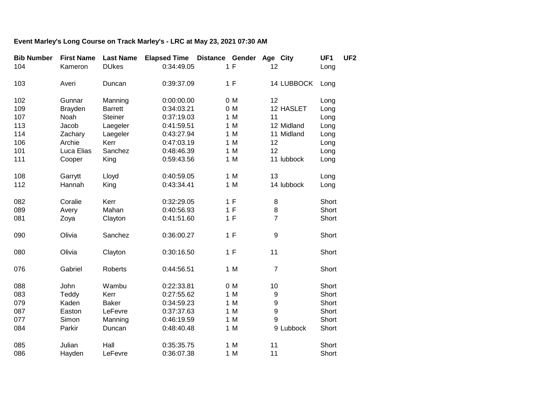## **Event Marley's Long Course on Track Marley's - LRC at May 23, 2021 07:30 AM**

| <b>Bib Number</b> | <b>First Name</b> | <b>Last Name</b> | <b>Elapsed Time Distance Gender</b> |     | Age City         | UF1   | UF <sub>2</sub> |
|-------------------|-------------------|------------------|-------------------------------------|-----|------------------|-------|-----------------|
| 104               | Kameron           | <b>DUkes</b>     | 0:34:49.05                          | 1 F | 12               | Long  |                 |
| 103               | Averi             | Duncan           | 0:39:37.09                          | 1 F | 14 LUBBOCK       | Long  |                 |
| 102               | Gunnar            | Manning          | 0:00:00.00                          | 0 M | 12               | Long  |                 |
| 109               | <b>Brayden</b>    | <b>Barrett</b>   | 0:34:03.21                          | 0 M | 12 HASLET        | Long  |                 |
| 107               | Noah              | <b>Steiner</b>   | 0:37:19.03                          | 1 M | 11               | Long  |                 |
| 113               | Jacob             | Laegeler         | 0:41:59.51                          | 1 M | 12 Midland       | Long  |                 |
| 114               | Zachary           | Laegeler         | 0:43:27.94                          | 1 M | 11 Midland       | Long  |                 |
| 106               | Archie            | Kerr             | 0:47:03.19                          | 1 M | 12               | Long  |                 |
| 101               | Luca Elias        | Sanchez          | 0:48:46.39                          | 1 M | 12               | Long  |                 |
| 111               | Cooper            | King             | 0:59:43.56                          | 1 M | 11 lubbock       | Long  |                 |
| 108               | Garrytt           | Lloyd            | 0:40:59.05                          | 1 M | 13               | Long  |                 |
| 112               | Hannah            | King             | 0:43:34.41                          | 1 M | 14 lubbock       | Long  |                 |
| 082               | Coralie           | Kerr             | 0:32:29.05                          | 1 F | 8                | Short |                 |
| 089               | Avery             | Mahan            | 0:40:56.93                          | 1 F | 8                | Short |                 |
| 081               | Zoya              | Clayton          | 0:41:51.60                          | 1 F | $\overline{7}$   | Short |                 |
| 090               | Olivia            | Sanchez          | 0:36:00.27                          | 1 F | 9                | Short |                 |
| 080               | Olivia            | Clayton          | 0:30:16.50                          | 1 F | 11               | Short |                 |
| 076               | Gabriel           | Roberts          | 0:44:56.51                          | 1 M | $\overline{7}$   | Short |                 |
| 088               | John              | Wambu            | 0:22:33.81                          | 0 M | 10               | Short |                 |
| 083               | Teddy             | Kerr             | 0:27:55.62                          | 1 M | $\boldsymbol{9}$ | Short |                 |
| 079               | Kaden             | <b>Baker</b>     | 0:34:59.23                          | 1 M | 9                | Short |                 |
| 087               | Easton            | LeFevre          | 0:37:37.63                          | 1 M | 9                | Short |                 |
| 077               | Simon             | Manning          | 0:46:19.59                          | 1 M | 9                | Short |                 |
| 084               | Parkir            | Duncan           | 0:48:40.48                          | 1 M | 9 Lubbock        | Short |                 |
| 085               | Julian            | Hall             | 0:35:35.75                          | 1 M | 11               | Short |                 |
| 086               | Hayden            | LeFevre          | 0:36:07.38                          | 1 M | 11               | Short |                 |